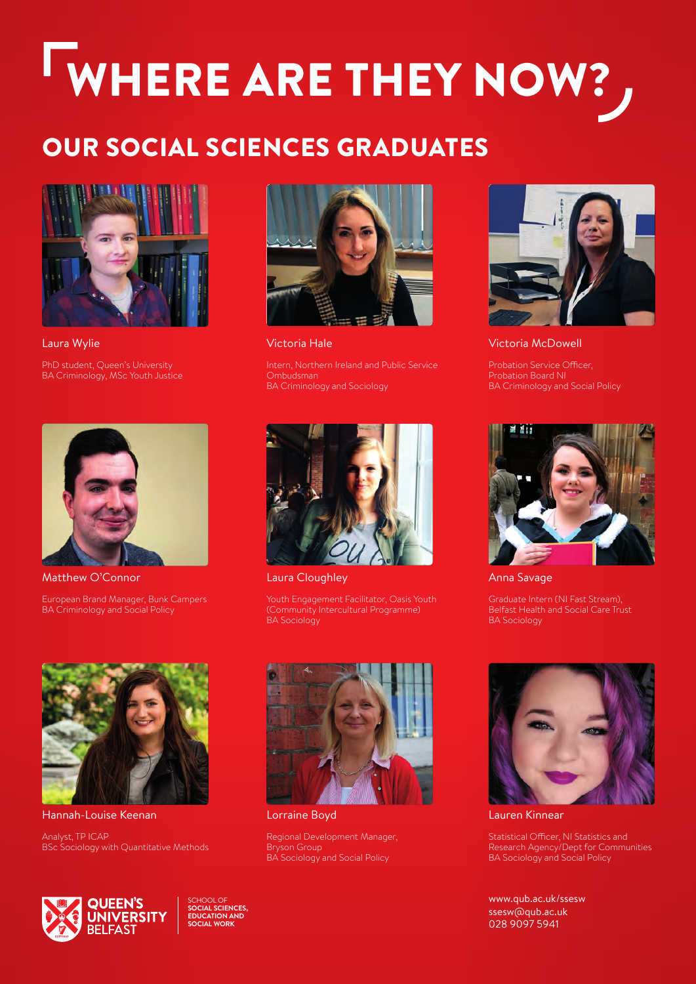## WHERE ARE THEY NOW?

## OUR SOCIAL SCIENCES GRADUATES



Laura Wylie

PhD student, Queen's University BA Criminology, MSc Youth Justice



Matthew O'Connor

European Brand Manager, Bunk Campers BA Criminology and Social Policy



Victoria Hale

Intern, Northern Ireland and Public Service BA Criminology and Sociology



Victoria McDowell

Probation Service Officer, Probation Board NI BA Criminology and Social Policy



Laura Cloughley

Youth Engagement Facilitator, Oasis Youth (Community Intercultural Programme) BA Sociology



Anna Savage

Belfast Health and Social Care Trust BA Sociology



Hannah-Louise Keenan

Analyst, TP ICAP BSc Sociology with Quantitative Methods



Lorraine Boyd

Regional Development Manager, Bryson Group BA Sociology and Social Policy



Lauren Kinnear

Statistical Officer, NI Statistics and Research Agency/Dept for Communities BA Sociology and Social Policy

[www.qub.ac.uk/ssesw](http://www.qub.ac.uk/ssesw) [ssesw@qub.ac.uk](mailto:ssesw@qub.ac.uk) 028 9097 5941



SCHOOL OF **SOCIAL SCIENCES, EDUCATION AND SOCIAL WORK**